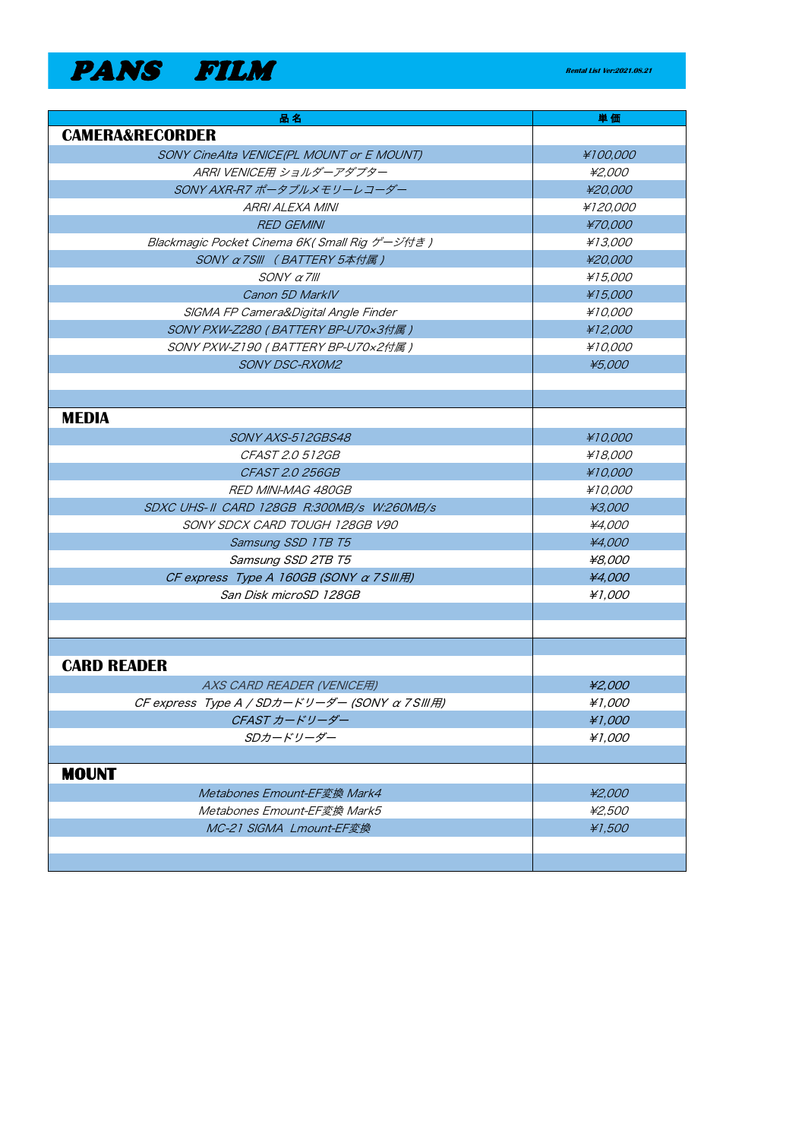## **PANS FILM Rental List Ver:2021.08.21**

| 品名                                            | 単価             |
|-----------------------------------------------|----------------|
| <b>CAMERA&amp;RECORDER</b>                    |                |
| SONY CineAlta VENICE(PL MOUNT or E MOUNT)     | ¥100,000       |
| ARRI VENICE用 ショルダーアダプター                       | ¥2,000         |
| SONY AXR-R7 ポータブルメモリーレコーダー                    | ¥20,000        |
| ARRI ALEXA MINI                               | ¥120,000       |
| <b>RED GEMINI</b>                             | ¥70,000        |
| Blackmagic Pocket Cinema 6K( Small Rig ゲージ付き) | ¥13,000        |
| SONY a7SIII (BATTERY 5本付属)                    | ¥20,000        |
| $SONY$ $\alpha$ 7/11                          | ¥15,000        |
| Canon 5D MarklV                               | ¥15,000        |
| SIGMA FP Camera&Digital Angle Finder          | ¥10,000        |
| SONY PXW-Z280 (BATTERY BP-U70x3付属)            | ¥12,000        |
| SONY PXW-Z190 (BATTERY BP-U70x2付属)            | <i>¥10.000</i> |
| <b>SONY DSC-RXOM2</b>                         | ¥5,000         |
|                                               |                |
|                                               |                |
| <b>MEDIA</b>                                  |                |
| SONY AXS-512GBS48                             | ¥10,000        |
| <i>CFAST 2.0 512GB</i>                        | ¥18.000        |
| <b>CFAST 2.0 256GB</b>                        | ¥10,000        |
| <b>RED MINI-MAG 480GB</b>                     | ¥10,000        |
| SDXC UHS-II CARD 128GB R:300MB/s W:260MB/s    | ¥3,000         |
| SONY SDCX CARD TOUGH 128GB V90                | ¥4,000         |
| Samsung SSD 1TB T5                            | ¥4,000         |
| Samsung SSD 2TB T5                            | ¥8.000         |
| CF express Type A 160GB (SONY α 7SIII用)       | ¥4,000         |
| San Disk microSD 128GB                        | ¥1.000         |
|                                               |                |
|                                               |                |
|                                               |                |
| <b>CARD READER</b>                            |                |
| AXS CARD READER (VENICE用)                     | ¥2,000         |
| CF express Type A / SDカードリーダー (SONY a 7SIII用) | ¥1,000         |
| CFAST カードリーダー                                 | ¥1,000         |
| SDカードリーダー                                     | ¥1,000         |
|                                               |                |
| <b>MOUNT</b>                                  |                |
| Metabones Emount-EF変換 Mark4                   | ¥2,000         |
| Metabones Emount-EF変換 Mark5                   | ¥2,500         |
| MC-21 SIGMA Lmount-EF変換                       | ¥1,500         |
|                                               |                |
|                                               |                |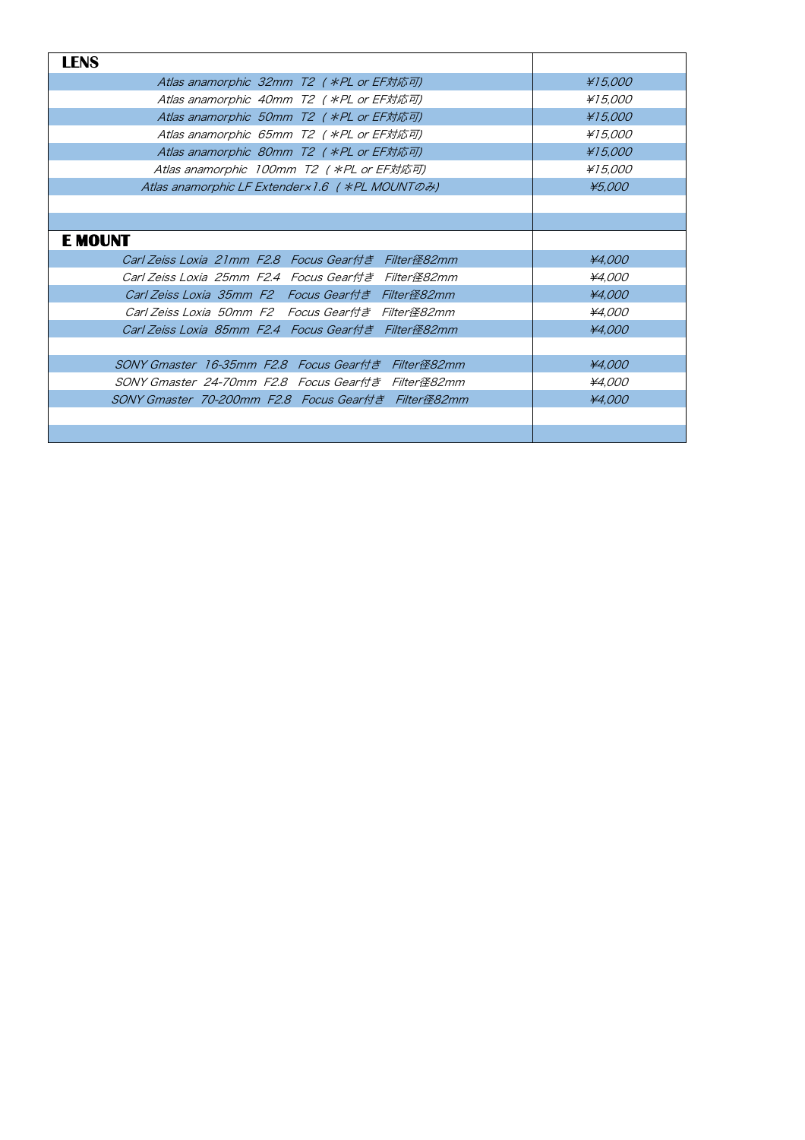| <b>LENS</b>                                         |         |
|-----------------------------------------------------|---------|
| Atlas anamorphic 32mm T2 ( *PL or EF対応可)            | ¥15,000 |
| Atlas anamorphic 40mm T2 ( *PL or EF対応可)            | ¥15,000 |
| Atlas anamorphic 50mm T2 ( *PL or EF対応可)            | ¥15,000 |
| Atlas anamorphic 65mm T2 ( *PL or EF対応可)            | ¥15.000 |
| Atlas anamorphic 80mm T2 ( *PL or EF対応可)            | ¥15,000 |
| Atlas anamorphic 100mm T2 ( *PL or EF対応可)           | ¥15,000 |
| Atlas anamorphic LF Extender x 1.6 ( *PL MOUNTO 2)  | ¥5,000  |
|                                                     |         |
|                                                     |         |
| <b>E MOUNT</b>                                      |         |
| Carl Zeiss Loxia 21mm F2.8 Focus Gear付き Filter径82mm | ¥4.000  |
| Carl Zeiss Loxia 25mm F2.4 Focus Gear付き Filter径82mm | ¥4.000  |
| Carl Zeiss Loxia 35mm F2 Focus Gear付き Filter径82mm   | ¥4.000  |
| Carl Zeiss Loxia 50mm F2 Focus Gear付き Filter径82mm   | ¥4.000  |
| Carl Zeiss Loxia 85mm F2.4 Focus Gear付き Filter径82mm | ¥4,000  |
|                                                     |         |
| SONY Gmaster 16-35mm F2.8 Focus Gear付き Filter径82mm  | ¥4.000  |
| SONY Gmaster 24-70mm F2.8 Focus Gear付き Filter径82mm  | ¥4.000  |
| SONY Gmaster 70-200mm F2.8 Focus Gear付き Filter径82mm | ¥4.000  |
|                                                     |         |
|                                                     |         |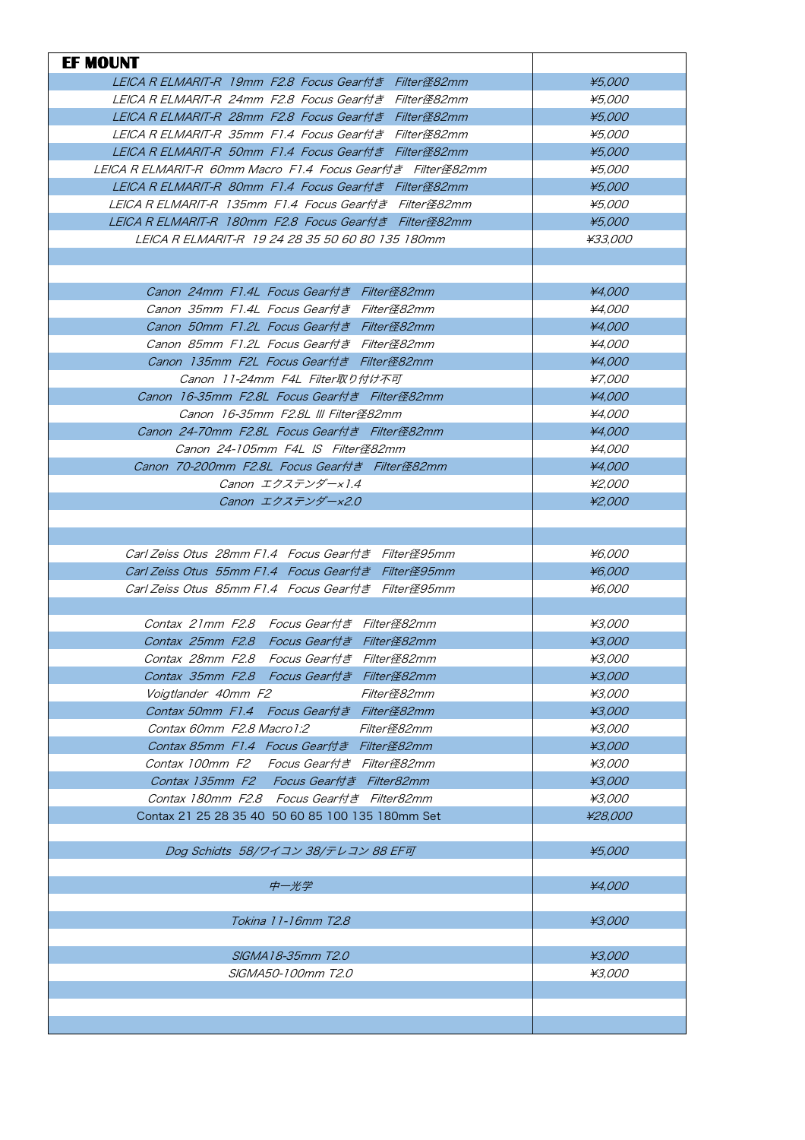| <b>EF MOUNT</b>                                                                |                  |
|--------------------------------------------------------------------------------|------------------|
| LEICA R ELMARIT-R 19mm F2.8 Focus Gear付き Filter径82mm                           | ¥5,000           |
| LEICA R ELMARIT-R 24mm F2.8 Focus Gear付き Filter径82mm                           | <i>¥5.000</i>    |
| LEICA R ELMARIT-R 28mm F2.8 Focus Gear付き Filter径82mm                           | ¥5,000           |
| LEICA R ELMARIT-R 35mm F1.4 Focus Gear付き Filter径82mm                           | ¥5,000           |
| LEICA R ELMARIT-R 50mm F1.4 Focus Gear付き Filter径82mm                           | ¥5.000           |
| LEICA R ELMARIT-R 60mm Macro F1.4 Focus Gear付き Filter径82mm                     | <i>¥5.000</i>    |
| LEICA R ELMARIT-R 80mm F1.4 Focus Gear付き Filter径82mm                           | ¥5.000           |
| LEICA R ELMARIT-R 135mm F1.4 Focus Gear付き Filter径82mm                          | <i>¥5.000</i>    |
| LEICA R ELMARIT-R 180mm F2.8 Focus Gear付き Filter径82mm                          | ¥5.000           |
| LEICA R ELMARIT-R 19 24 28 35 50 60 80 135 180mm                               | ¥33.000          |
|                                                                                |                  |
|                                                                                |                  |
| Canon 24mm F1.4L Focus Gear付き Filter径82mm                                      | ¥4.000           |
| Canon 35mm F1.4L Focus Gear付き Filter径82mm                                      | ¥4.000           |
| Canon 50mm F1.2L Focus Gear付き Filter径82mm                                      | ¥4.000           |
| Canon 85mm F1.2L Focus Gear付き Filter径82mm                                      | ¥4.000           |
| Canon 135mm F2L Focus Gear付き Filter径82mm                                       | ¥4,000           |
|                                                                                |                  |
| Canon 11-24mm F4L Filter取り付け不可<br>Canon 16-35mm F2.8L Focus Gear付き Filter径82mm | ¥7.000<br>¥4.000 |
|                                                                                |                  |
| Canon 16-35mm F2.8L III Filter径82mm                                            | ¥4.000           |
| Canon 24-70mm F2.8L Focus Gear付き Filter径82mm                                   | ¥4.000           |
| Canon 24-105mm F4L IS Filter径82mm                                              | ¥4.000           |
| Canon 70-200mm F2.8L Focus Gear付き Filter径82mm                                  | ¥4.000           |
| Canon エクステンダー×1.4                                                              | ¥2.000           |
| Canon エクステンダー×2.0                                                              | ¥2.000           |
|                                                                                |                  |
|                                                                                |                  |
| Carl Zeiss Otus 28mm F1.4 Focus Gear付き Filter径95mm                             | <i>¥6.000</i>    |
| Carl Zeiss Otus 55mm F1.4 Focus Gear付き Filter径95mm                             | ¥6,000           |
| Carl Zeiss Otus, 85mm F1.4, Focus Gear付き, Filter径95mm                          | ¥6.000           |
|                                                                                |                  |
| Contax 21mm F2.8 Focus Gear付き Filter径82mm                                      | ¥3.000           |
| Contax 25mm F2.8 Focus Gear付き Filter径82mm                                      | ¥3,000           |
| Contax 28mm F2.8 Focus Gear付き Filter径82mm                                      | <i>¥3,000</i>    |
| Contax 35mm F2.8 Focus Gear付き Filter径82mm                                      | ¥3,000           |
| Voigtlander 40mm F2<br>Filter径82mm                                             | ¥3,000           |
| Contax 50mm F1.4 Focus Gear付き Filter径82mm                                      | ¥3,000           |
| Contax 60mm F2.8 Macro 1:2<br>Filter径82mm                                      | ¥3.000           |
| Contax 85mm F1.4 Focus Gear付き Filter径82mm                                      | ¥3,000           |
| Contax 100mm F2 Focus Gear付き Filter径82mm                                       | ¥3,000           |
| Contax 135mm F2 Focus Gear付き Filter82mm                                        | ¥3,000           |
| Contax 180mm F2.8 Focus Gear付き Filter82mm                                      | ¥3,000           |
| Contax 21 25 28 35 40 50 60 85 100 135 180mm Set                               | ¥28,000          |
|                                                                                |                  |
| Dog Schidts 58/ワイコン 38/テレコン 88 EF可                                             | ¥5,000           |
|                                                                                |                  |
| 中一光学                                                                           | ¥4,000           |
|                                                                                |                  |
| Tokina 11-16mm T2.8                                                            | ¥3,000           |
|                                                                                |                  |
| SIGMA18-35mm T2.0                                                              | ¥3,000           |
| SIGMA50-100mm T2.0                                                             | ¥3.000           |
|                                                                                |                  |
|                                                                                |                  |
|                                                                                |                  |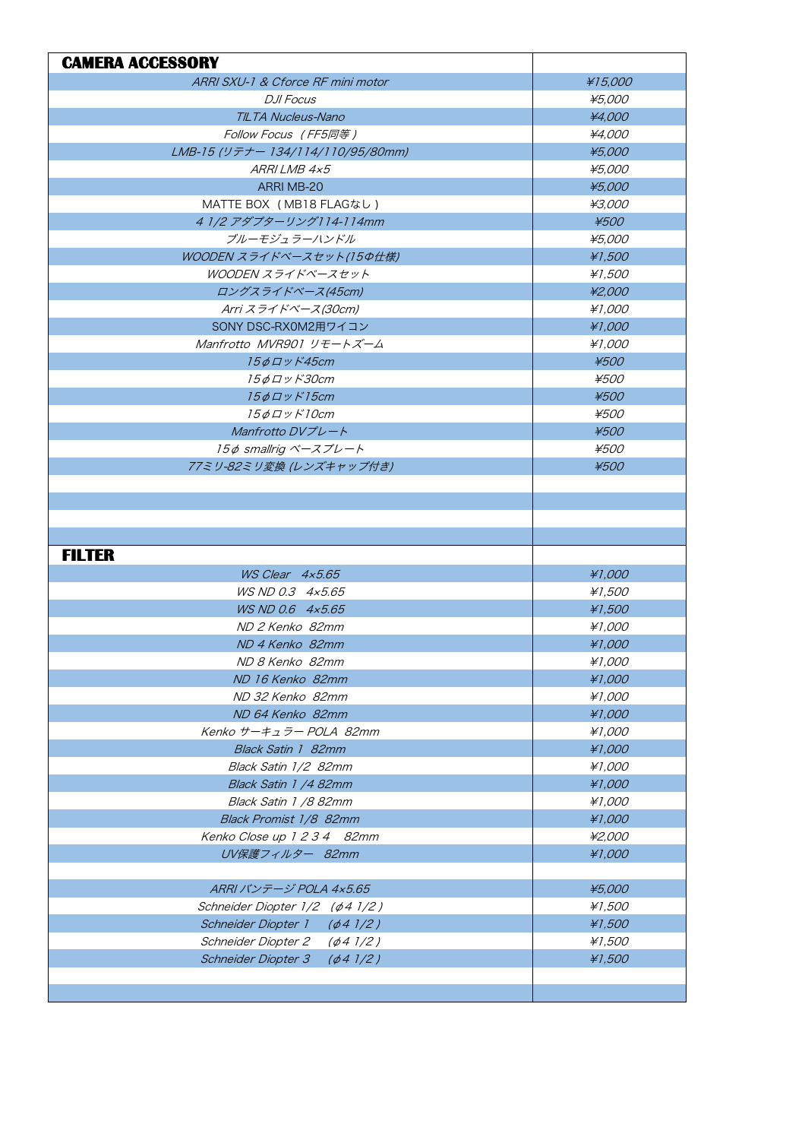| <b>CAMERA ACCESSORY</b>               |             |
|---------------------------------------|-------------|
| ARRI SXU-1 & Cforce RF mini motor     | ¥15,000     |
| D.II Focus                            | ¥5,000      |
| TILTA Nucleus-Nano                    | ¥4,000      |
| Follow Focus (FF5同等)                  | ¥4.000      |
| LMB-15 (リテナー 134/114/110/95/80mm)     | ¥5,000      |
| ARRI LMB 4x5                          | ¥5,000      |
| ARRI MB-20                            | ¥5,000      |
| MATTE BOX (MB18 FLAGなし)               | ¥3.000      |
| 4 1/2 アダプターリング114-114mm               | ¥500        |
| ブルーモジュラーハンドル                          | ¥5,000      |
| WOODEN スライドベースセット(15の仕様)              | ¥1,500      |
| WOODEN スライドベースセット                     | ¥1,500      |
| ロングスライドベース(45cm)                      | ¥2,000      |
| Arri スライドベース(30cm)                    | ¥1.000      |
| SONY DSC-RX0M2用ワイコン                   | ¥1,000      |
| Manfrotto MVR901 リモートズーム              | ¥1.000      |
| 15¢ <i>Ду К45ст</i>                   | ¥500        |
| <i>15φロッド30cm</i>                     | <i>¥500</i> |
| $15\phi$ $\Box$ $\vee$ $K$ $15$ cm    | ¥500        |
| 15¢ロッド10cm                            | ¥500        |
| Manfrotto $D V J^2 L - K$             | $*500$      |
| 15¢ smallrig ベースプレート                  | <i>¥500</i> |
| 77ミリ-82ミリ変換 (レンズキャップ付き)               | ¥500        |
|                                       |             |
|                                       |             |
|                                       |             |
|                                       |             |
| <b>FILTER</b>                         |             |
| $WS$ Clear $4x5.65$                   | ¥1,000      |
| WS ND 0.3 4x5.65                      | ¥1,500      |
| WS ND 0.6 4x5.65                      | ¥1,500      |
| ND 2 Kenko 82mm                       | ¥1.000      |
| ND 4 Kenko 82mm                       | ¥1,000      |
| ND 8 Kenko 82mm                       | ¥1,000      |
| ND 16 Kenko 82mm                      | ¥1,000      |
| ND 32 Kenko 82mm                      | ¥1,000      |
| ND 64 Kenko 82mm                      | ¥1,000      |
| Kenko サーキュラー POLA 82mm                | ¥1,000      |
| Black Satin 1 82mm                    | ¥1,000      |
| Black Satin 1/2 82mm                  | ¥1,000      |
| Black Satin 1 /4 82mm                 | ¥1,000      |
| Black Satin 1 /8 82mm                 | ¥1,000      |
| Black Promist 1/8 82mm                | ¥1,000      |
| Kenko Close up 1 2 3 4 82mm           | ¥2.000      |
| UV保護フィルター 82mm                        | ¥1,000      |
|                                       |             |
| ARRI バンテージ POLA 4x5.65                | ¥5,000      |
| Schneider Diopter 1/2 (¢4 1/2)        | ¥1,500      |
| Schneider Diopter 1<br>$(\phi 4)/2)$  | ¥1,500      |
| Schneider Diopter 2<br>$(\phi$ 4 1/2) | ¥1,500      |
| Schneider Diopter 3<br>$(\phi 4)/2)$  | ¥1,500      |
|                                       |             |
|                                       |             |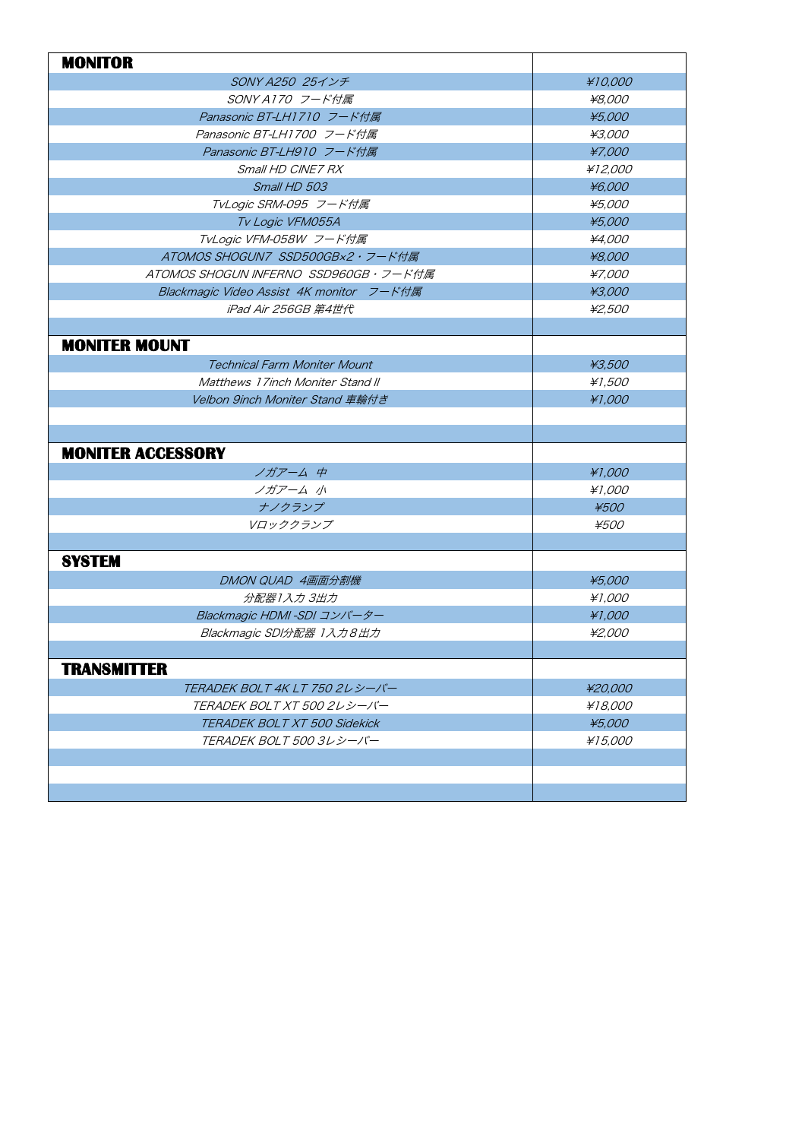| <b>MONITOR</b>                           |             |
|------------------------------------------|-------------|
| SONY A250 25インチ                          | #10,000     |
| SONY A170 フード付属                          | ¥8.000      |
| Panasonic BT-LH1710 フード付属                | ¥5,000      |
| Panasonic BT-LH1700 フード付属                | ¥3.000      |
| Panasonic BT-LH910 フード付属                 | ¥7,000      |
| Small HD CINE7 RX                        | ¥12,000     |
| Small HD 503                             | ¥6,000      |
| TvLogic SRM-095 フード付属                    | ¥5,000      |
| Tv Logic VFM055A                         | ¥5,000      |
| TvLogic VFM-058W フード付属                   | ¥4.000      |
| ATOMOS SHOGUN7 SSD500GB×2・フード付属          | ¥8,000      |
| ATOMOS SHOGUN INFERNO SSD960GB・フード付属     | ¥7.000      |
| Blackmagic Video Assist 4K monitor フード付属 | ¥3,000      |
| iPad Air 256GB 第4世代                      | ¥2,500      |
|                                          |             |
| <b>MONITER MOUNT</b>                     |             |
| <b>Technical Farm Moniter Mount</b>      | ¥3.500      |
| Matthews 17 inch Moniter Stand II        | ¥1.500      |
| Velbon 9inch Moniter Stand 車輪付き          | ¥1,000      |
|                                          |             |
|                                          |             |
| <b>MONITER ACCESSORY</b>                 |             |
| ノガアーム中                                   | ¥1,000      |
| ノガアーム 小                                  | ¥1.000      |
| ナノクランプ                                   | ¥500        |
| Vロッククランプ                                 | <i>¥500</i> |
|                                          |             |
| <b>SYSTEM</b>                            |             |
| DMON QUAD 4画面分割機                         | ¥5,000      |
| 分配器1入力 3出力                               | ¥1.000      |
| Blackmagic HDMI -SDI コンバーター              | ¥1,000      |
| Blackmagic SDI分配器 1入力8出力                 | ¥2.000      |
|                                          |             |
| <b>TRANSMITTER</b>                       |             |
| TERADEK BOLT 4K LT 750 2レシーバー            | ¥20,000     |
| TERADEK BOLT XT 500 2レシーバー               | ¥18,000     |
| TERADEK BOLT XT 500 Sidekick             | ¥5,000      |
| TERADEK BOLT 500 3レシーバー                  | ¥15,000     |
|                                          |             |
|                                          |             |
|                                          |             |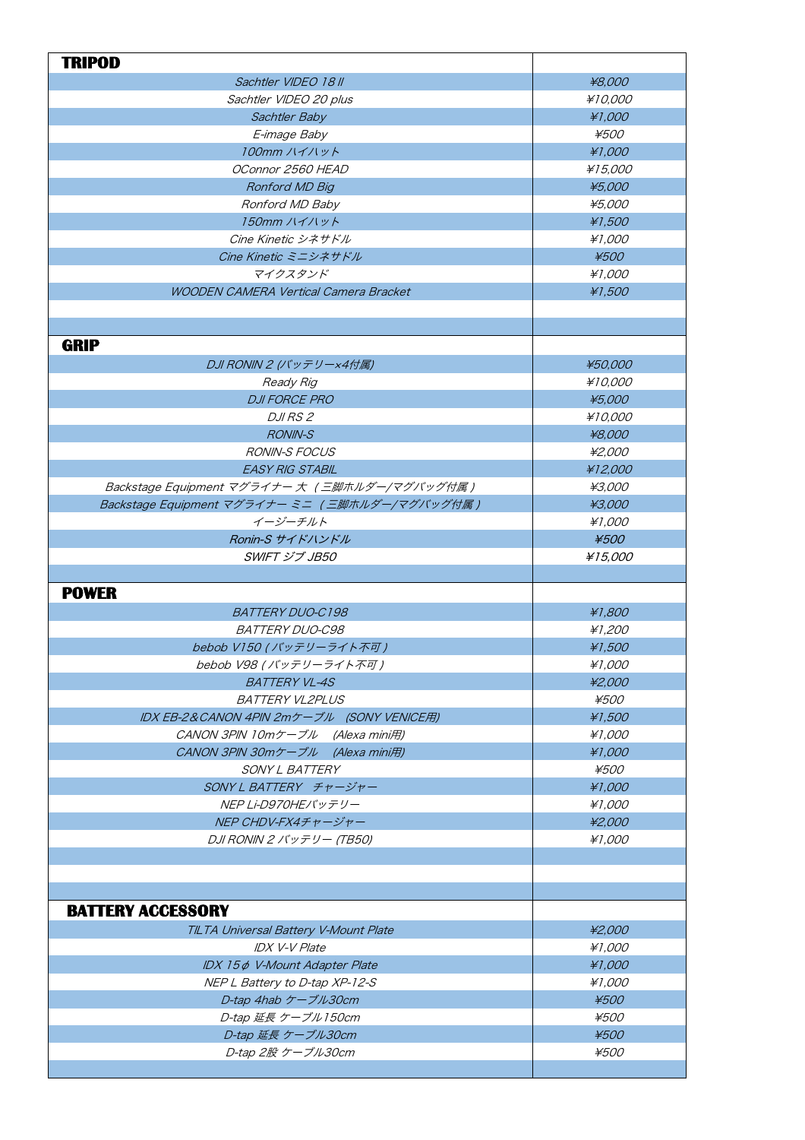| <b>TRIPOD</b>                                  |                |
|------------------------------------------------|----------------|
| Sachtler VIDEO 18 II                           | ¥8,000         |
| Sachtler VIDEO 20 plus                         | <i>¥10.000</i> |
| Sachtler Baby                                  | ¥1,000         |
| E-image Baby                                   | <i>¥500</i>    |
| 100mm ハイハット                                    | ¥1,000         |
| OConnor 2560 HEAD                              | ¥15,000        |
| Ronford MD Big                                 | ¥5,000         |
| Ronford MD Baby                                | ¥5.000         |
| 150mm ハイハット                                    | ¥1,500         |
| Cine Kinetic シネサドル                             | ¥1.000         |
| Cine Kinetic ミニシネサドル                           | ¥500           |
| マイクスタンド                                        | ¥1.000         |
| <b>WOODEN CAMERA Vertical Camera Bracket</b>   | ¥1,500         |
|                                                |                |
|                                                |                |
| <b>GRIP</b>                                    |                |
| DJI RONIN 2 (バッテリー×4付属)                        | ¥50,000        |
| Ready Rig                                      | ¥10,000        |
| <b>DJI FORCE PRO</b>                           | ¥5,000         |
| <i>DJI RS 2</i>                                | ¥10.000        |
| <b>RONIN-S</b>                                 | ¥8,000         |
| <b>RONIN-S FOCUS</b>                           | ¥2.000         |
| <b>EASY RIG STABIL</b>                         | ¥12,000        |
| Backstage Equipment マグライナー 大 (三脚ホルダー/マグバッグ付属)  | ¥3.000         |
| Backstage Equipment マグライナー ミニ (三脚ホルダー/マグバッグ付属) | ¥3,000         |
| イージーチルト                                        | ¥1,000         |
| Ronin-S サイドハンドル                                | ¥500           |
| <b>SWIFT ジブ JB50</b>                           | ¥15,000        |
|                                                |                |
| <b>POWER</b>                                   |                |
| <b>BATTERY DUO-C198</b>                        | ¥1,800         |
| <b>BATTERY DUO-C98</b>                         | ¥1.200         |
| bebob V150 (バッテリーライト不可)                        | ¥1,500         |
| bebob V98 (バッテリーライト不可)                         | ¥1,000         |
| <b>BATTERY VL-4S</b>                           | ¥2,000         |
| <b>BATTERY VL2PLUS</b>                         | <i>¥500</i>    |
| IDX EB-2&CANON 4PIN 2mケーブル (SONY VENICE用)      | ¥1,500         |
| CANON 3PIN 10mケーブル (Alexa mini用)               | ¥1.000         |
| CANON 3PIN 30mケーブル (Alexa mini用)               | ¥1,000         |
| <i>SONY L BATTERY</i>                          | ¥500           |
| SONY L BATTERY チャージャー                          | ¥1,000         |
| NEP Li-D970HEバッテリー                             | ¥1,000         |
| NEP CHDV-FX4チャージャー                             | ¥2,000         |
| DJI RONIN 2 バッテリー (TB50)                       | ¥1,000         |
|                                                |                |
|                                                |                |
|                                                |                |
| <b>BATTERY ACCESSORY</b>                       |                |
| TILTA Universal Battery V-Mount Plate          | ¥2,000         |
| <b>IDX V-V Plate</b>                           | ¥1.000         |
| IDX 15¢ V-Mount Adapter Plate                  | ¥1,000         |
| NEP L Battery to D-tap XP-12-S                 | ¥1,000         |
| D-tap 4hab ケーブル30cm                            | ¥500           |
| D-tap 延長 ケーブル150cm                             | ¥500           |
| D-tap 延長 ケーブル30cm                              | ¥500           |
| D-tap 2股 ケーブル30cm                              | ¥500           |
|                                                |                |